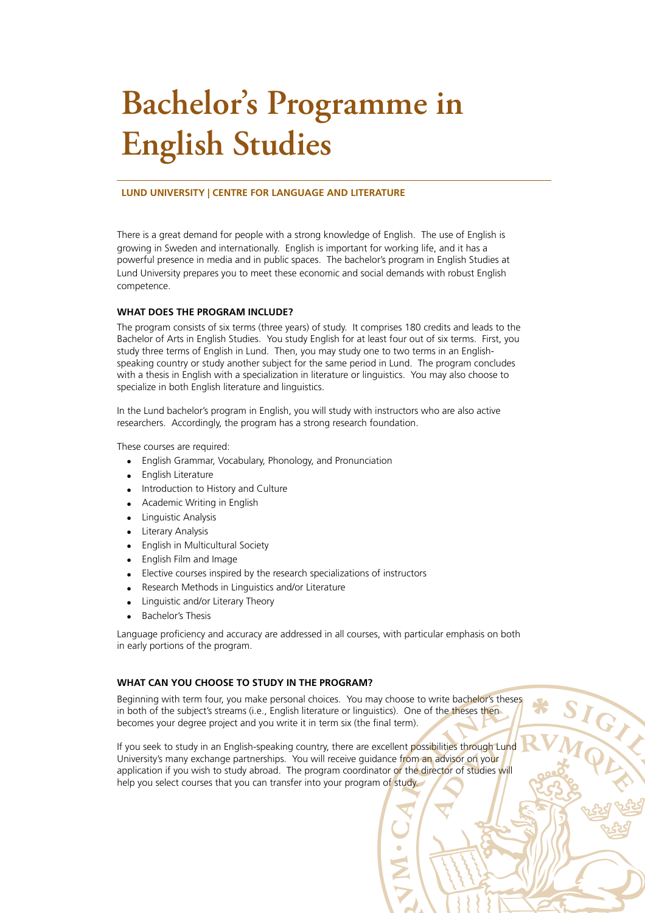# **Bachelor's Programme in English Studies**

#### **LUND UNIVERSITY | CENTRE FOR LANGUAGE AND LITERATURE**

There is a great demand for people with a strong knowledge of English. The use of English is growing in Sweden and internationally. English is important for working life, and it has a powerful presence in media and in public spaces. The bachelor's program in English Studies at Lund University prepares you to meet these economic and social demands with robust English competence.

## **WHAT DOES THE PROGRAM INCLUDE?**

The program consists of six terms (three years) of study. It comprises 180 credits and leads to the Bachelor of Arts in English Studies. You study English for at least four out of six terms. First, you study three terms of English in Lund. Then, you may study one to two terms in an Englishspeaking country or study another subject for the same period in Lund. The program concludes with a thesis in English with a specialization in literature or linguistics. You may also choose to specialize in both English literature and linguistics.

In the Lund bachelor's program in English, you will study with instructors who are also active researchers. Accordingly, the program has a strong research foundation.

These courses are required:

- English Grammar, Vocabulary, Phonology, and Pronunciation
- English Literature
- Introduction to History and Culture
- Academic Writing in English
- Linguistic Analysis
- **Literary Analysis**
- English in Multicultural Society
- English Film and Image
- Elective courses inspired by the research specializations of instructors
- Research Methods in Linguistics and/or Literature
- Linguistic and/or Literary Theory
- Bachelor's Thesis

Language proficiency and accuracy are addressed in all courses, with particular emphasis on both in early portions of the program.

### **WHAT CAN YOU CHOOSE TO STUDY IN THE PROGRAM?**

Beginning with term four, you make personal choices. You may choose to write bachelor's theses in both of the subject's streams (i.e., English literature or linguistics). One of the theses then becomes your degree project and you write it in term six (the final term).

SIGIRE S

If you seek to study in an English-speaking country, there are excellent possibilities through Lund University's many exchange partnerships. You will receive guidance from an advisor on your application if you wish to study abroad. The program coordinator or the director of studies will help you select courses that you can transfer into your program of study.